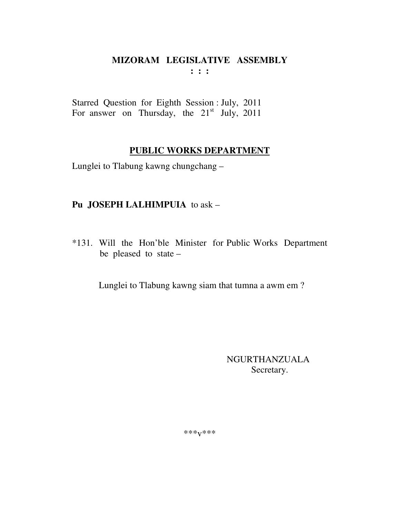Starred Question for Eighth Session : July, 2011 For answer on Thursday, the  $21<sup>st</sup>$  July, 2011

## **PUBLIC WORKS DEPARTMENT**

Lunglei to Tlabung kawng chungchang –

# **Pu JOSEPH LALHIMPUIA** to ask –

\*131. Will the Hon'ble Minister for Public Works Department be pleased to state –

Lunglei to Tlabung kawng siam that tumna a awm em ?

NGURTHANZUALA Secretary.

\*\*\*v\*\*\*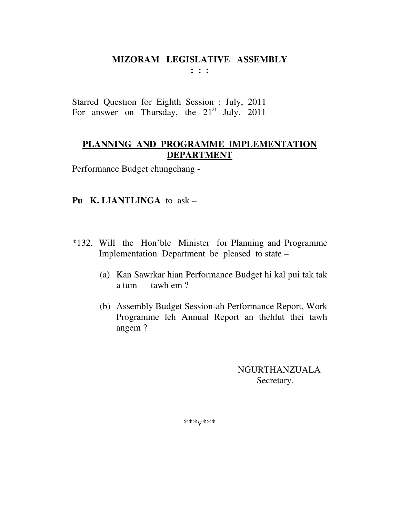Starred Question for Eighth Session : July, 2011 For answer on Thursday, the  $21<sup>st</sup>$  July, 2011

## PLANNING AND PROGRAMME IMPLEMENTATION **DEPARTMENT**

Performance Budget chungchang -

## Pu K. LIANTLINGA to ask -

- \*132. Will the Hon'ble Minister for Planning and Programme Implementation Department be pleased to state -
	- (a) Kan Sawrkar hian Performance Budget hi kal pui tak tak tawh em? a tum
	- (b) Assembly Budget Session-ah Performance Report, Work Programme leh Annual Report an the hlut thei tawh angem?

**NGURTHANZUALA** Secretary.

 $***V***$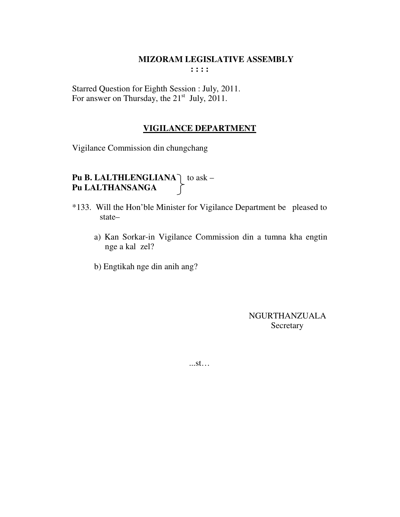Starred Question for Eighth Session : July, 2011. For answer on Thursday, the  $21<sup>st</sup>$  July, 2011.

### **VIGILANCE DEPARTMENT**

Vigilance Commission din chungchang

# **Pu B. LALTHLENGLIANA** to ask – **Pu LALTHANSANGA**

- \*133. Will the Hon'ble Minister for Vigilance Department be pleased to state–
	- a) Kan Sorkar-in Vigilance Commission din a tumna kha engtin nge a kal zel?
	- b) Engtikah nge din anih ang?

NGURTHANZUALA Secretary

...st…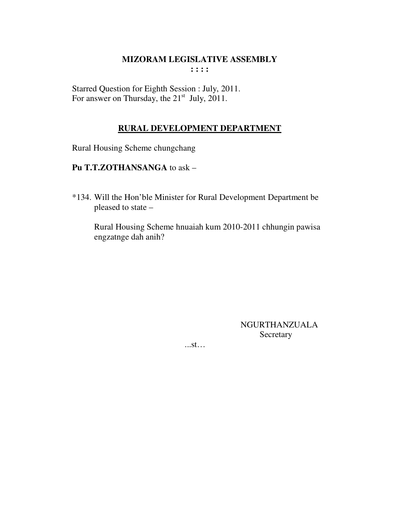Starred Question for Eighth Session : July, 2011. For answer on Thursday, the  $21<sup>st</sup>$  July, 2011.

## RURAL DEVELOPMENT DEPARTMENT

Rural Housing Scheme chungchang

Pu T.T.ZOTHANSANGA to ask -

\*134. Will the Hon'ble Minister for Rural Development Department be pleased to state -

Rural Housing Scheme hnuaiah kum 2010-2011 chhungin pawisa engzatnge dah anih?

> NGURTHANZUALA Secretary

 $...st...$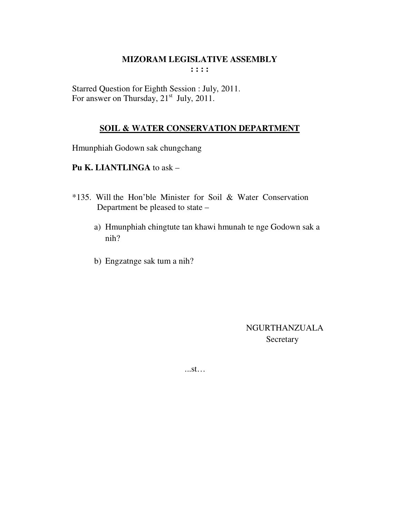Starred Question for Eighth Session : July, 2011. For answer on Thursday, 21<sup>st</sup> July, 2011.

## **SOIL & WATER CONSERVATION DEPARTMENT**

Hmunphiah Godown sak chungchang

Pu K. LIANTLINGA to ask -

- \*135. Will the Hon'ble Minister for Soil & Water Conservation Department be pleased to state
	- a) Hmunphiah chingtute tan khawi hmunah te nge Godown sak a  $nih?$
	- b) Engzatnge sak tum a nih?

NGURTHANZUALA Secretary

 $...st...$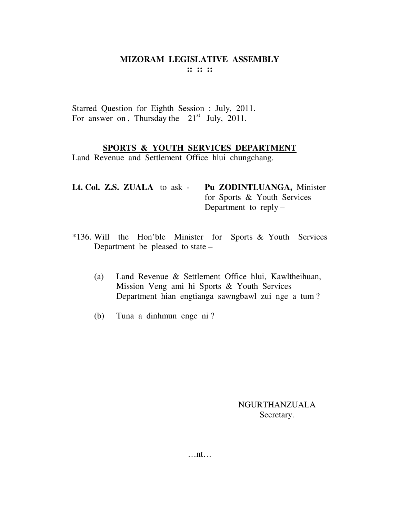Starred Question for Eighth Session : July, 2011. For answer on, Thursday the  $21<sup>st</sup>$  July, 2011.

#### **SPORTS & YOUTH SERVICES DEPARTMENT**

Land Revenue and Settlement Office hlui chungchang.

| Lt. Col. Z.S. ZUALA to ask - | Pu ZODINTLUANGA, Minister   |
|------------------------------|-----------------------------|
|                              | for Sports & Youth Services |
|                              | Department to $reply -$     |

- \*136. Will the Hon'ble Minister for Sports & Youth Services Department be pleased to state –
	- (a) Land Revenue & Settlement Office hlui, Kawltheihuan, Mission Veng ami hi Sports & Youth Services Department hian engtianga sawngbawl zui nge a tum ?
	- (b) Tuna a dinhmun enge ni ?

NGURTHANZUALA Secretary.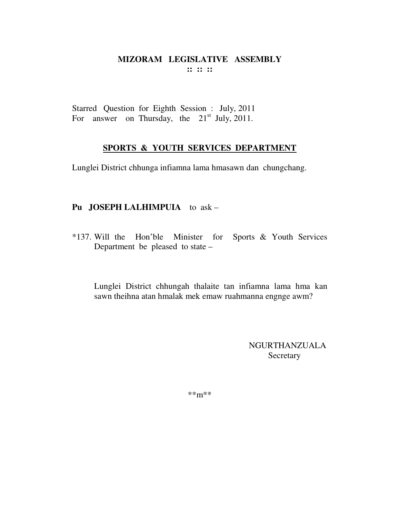Starred Question for Eighth Session : July, 2011 For answer on Thursday, the  $21<sup>st</sup>$  July, 2011.

### **SPORTS & YOUTH SERVICES DEPARTMENT**

Lunglei District chhunga infiamna lama hmasawn dan chungchang.

#### **Pu JOSEPH LALHIMPUIA** to ask –

\*137. Will the Hon'ble Minister for Sports & Youth Services Department be pleased to state –

 Lunglei District chhungah thalaite tan infiamna lama hma kan sawn theihna atan hmalak mek emaw ruahmanna engnge awm?

> NGURTHANZUALA Secretary

\*\*m\*\*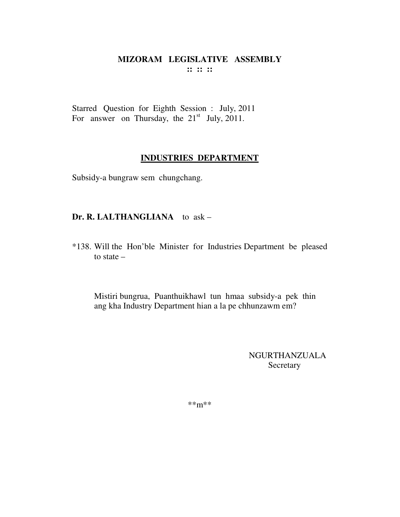Starred Question for Eighth Session : July, 2011 For answer on Thursday, the  $21<sup>st</sup>$  July, 2011.

#### **INDUSTRIES DEPARTMENT**

Subsidy-a bungraw sem chungchang.

#### **Dr. R. LALTHANGLIANA** to ask –

\*138. Will the Hon'ble Minister for Industries Department be pleased to state –

Mistiri bungrua, Puanthuikhawl tun hmaa subsidy-a pek thin ang kha Industry Department hian a la pe chhunzawm em?

> NGURTHANZUALA Secretary

\*\*m\*\*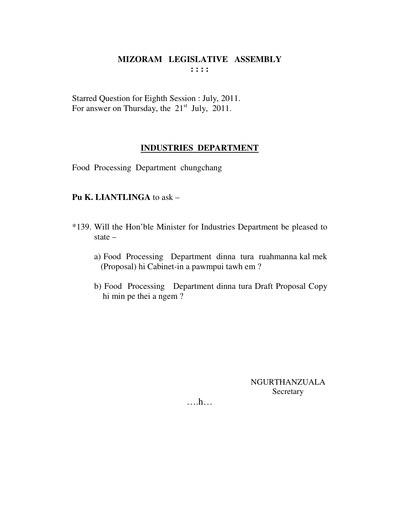Starred Question for Eighth Session : July, 2011. For answer on Thursday, the  $21<sup>st</sup>$  July, 2011.

### **INDUSTRIES DEPARTMENT**

Food Processing Department chungchang

#### Pu K. LIANTLINGA to ask -

- \*139. Will the Hon'ble Minister for Industries Department be pleased to state  $$ 
	- a) Food Processing Department dinna tura ruahmanna kal mek (Proposal) hi Cabinet-in a pawmpui tawh em?
	- b) Food Processing Department dinna tura Draft Proposal Copy hi min pe thei a ngem?

**NGURTHANZUALA** Secretary

 $\dots h\dots$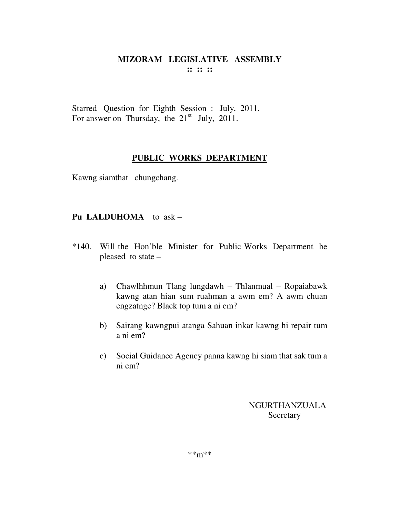Starred Question for Eighth Session : July, 2011. For answer on Thursday, the  $21<sup>st</sup>$  July, 2011.

### **PUBLIC WORKS DEPARTMENT**

Kawng siamthat chungchang.

### **Pu LALDUHOMA** to ask –

- \*140. Will the Hon'ble Minister for Public Works Department be pleased to state –
	- a) Chawlhhmun Tlang lungdawh Thlanmual Ropaiabawk kawng atan hian sum ruahman a awm em? A awm chuan engzatnge? Black top tum a ni em?
	- b) Sairang kawngpui atanga Sahuan inkar kawng hi repair tum a ni em?
	- c) Social Guidance Agency panna kawng hi siam that sak tum a ni em?

NGURTHANZUALA Secretary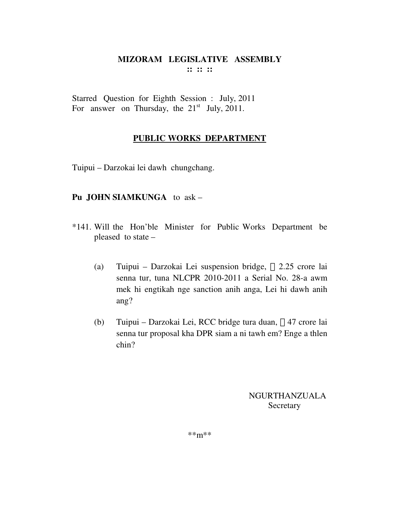Starred Question for Eighth Session : July, 2011 For answer on Thursday, the  $21<sup>st</sup>$  July, 2011.

#### **PUBLIC WORKS DEPARTMENT**

Tuipui – Darzokai lei dawh chungchang.

#### **Pu JOHN SIAMKUNGA** to ask –

- \*141. Will the Hon'ble Minister for Public Works Department be pleased to state –
	- (a) Tuipui Darzokai Lei suspension bridge, 2.25 crore lai senna tur, tuna NLCPR 2010-2011 a Serial No. 28-a awm mek hi engtikah nge sanction anih anga, Lei hi dawh anih ang?
	- (b) Tuipui Darzokai Lei, RCC bridge tura duan, 47 crore lai senna tur proposal kha DPR siam a ni tawh em? Enge a thlen chin?

NGURTHANZUALA Secretary

\*\*m\*\*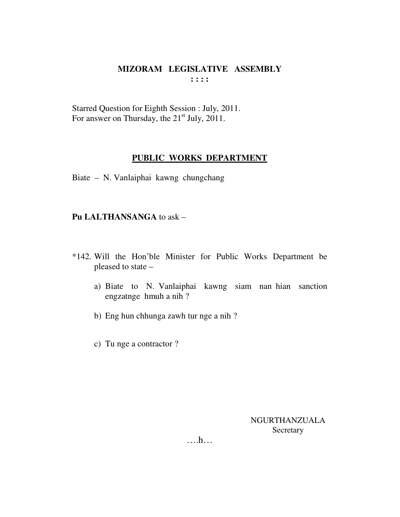Starred Question for Eighth Session : July, 2011. For answer on Thursday, the  $21<sup>st</sup>$  July, 2011.

#### **PUBLIC WORKS DEPARTMENT**

Biate – N. Vanlaiphai kawng chungchang

#### **Pu LALTHANSANGA** to ask –

- \*142. Will the Hon'ble Minister for Public Works Department be pleased to state –
	- a) Biate to N. Vanlaiphai kawng siam nan hian sanction engzatnge hmuh a nih ?
	- b) Eng hun chhunga zawh tur nge a nih ?
	- c) Tu nge a contractor ?

NGURTHANZUALA **Secretary** 

….h…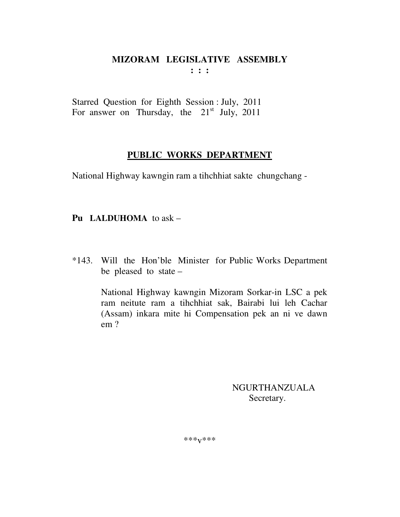Starred Question for Eighth Session : July, 2011 For answer on Thursday, the  $21<sup>st</sup>$  July, 2011

# **PUBLIC WORKS DEPARTMENT**

National Highway kawngin ram a tihchhiat sakte chungchang -

# **Pu LALDUHOMA** to ask –

\*143. Will the Hon'ble Minister for Public Works Department be pleased to state –

> National Highway kawngin Mizoram Sorkar-in LSC a pek ram neitute ram a tihchhiat sak, Bairabi lui leh Cachar (Assam) inkara mite hi Compensation pek an ni ve dawn em ?

> > NGURTHANZUALA Secretary.

\*\*\*v\*\*\*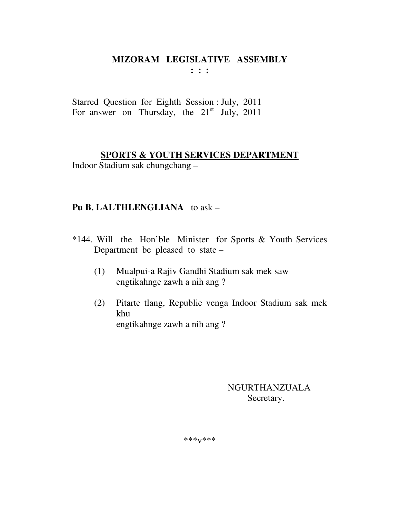# **MIZORAM LEGISLATIVE ASSEMBLY**

**: : :** 

Starred Question for Eighth Session : July, 2011 For answer on Thursday, the  $21<sup>st</sup>$  July, 2011

### **SPORTS & YOUTH SERVICES DEPARTMENT**

Indoor Stadium sak chungchang –

# **Pu B. LALTHLENGLIANA** to ask –

- \*144. Will the Hon'ble Minister for Sports & Youth Services Department be pleased to state –
	- (1) Mualpui-a Rajiv Gandhi Stadium sak mek saw engtikahnge zawh a nih ang ?
	- (2) Pitarte tlang, Republic venga Indoor Stadium sak mek khu engtikahnge zawh a nih ang ?

 NGURTHANZUALA Secretary.

\*\*\*v\*\*\*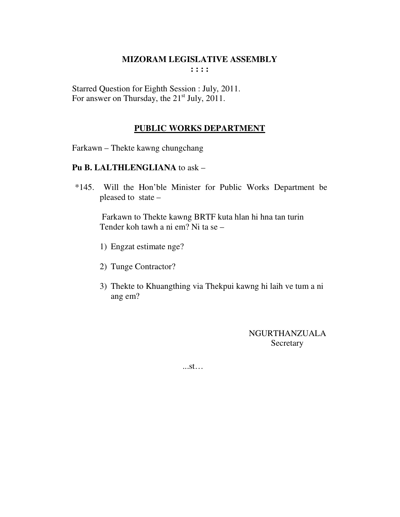Starred Question for Eighth Session : July, 2011. For answer on Thursday, the  $21<sup>st</sup>$  July, 2011.

#### **PUBLIC WORKS DEPARTMENT**

Farkawn – Thekte kawng chungchang

#### **Pu B. LALTHLENGLIANA** to ask –

\*145. Will the Hon'ble Minister for Public Works Department be pleased to state –

 Farkawn to Thekte kawng BRTF kuta hlan hi hna tan turin Tender koh tawh a ni em? Ni ta se –

- 1) Engzat estimate nge?
- 2) Tunge Contractor?
- 3) Thekte to Khuangthing via Thekpui kawng hi laih ve tum a ni ang em?

NGURTHANZUALA Secretary

...st…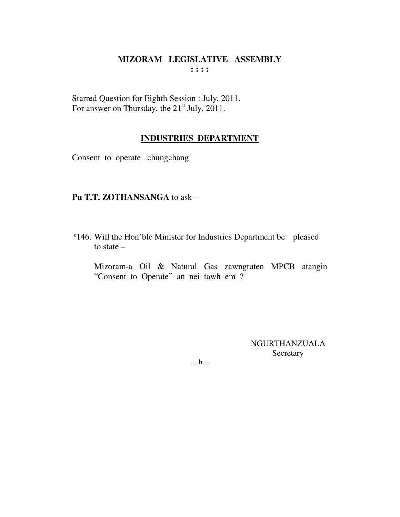Starred Question for Eighth Session : July, 2011. For answer on Thursday, the 21<sup>st</sup> July, 2011.

#### **INDUSTRIES DEPARTMENT**

Consent to operate chungchang

#### Pu T.T. ZOTHANSANGA to ask -

\*146. Will the Hon'ble Minister for Industries Department be pleased to state  $-$ 

Mizoram-a Oil & Natural Gas zawngtuten MPCB atangin "Consent to Operate" an nei tawh em ?

> NGURTHANZUALA Secretary

 $\dots$ h $\dots$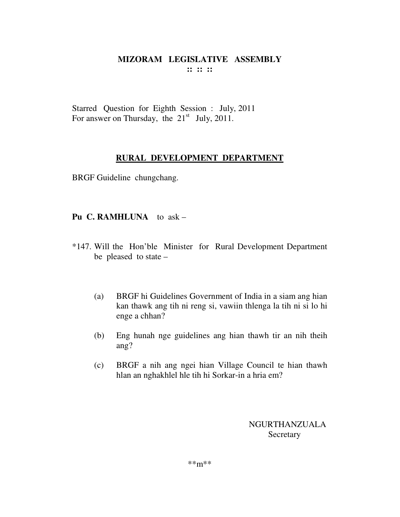Starred Question for Eighth Session : July, 2011 For answer on Thursday, the  $21<sup>st</sup>$  July, 2011.

### **RURAL DEVELOPMENT DEPARTMENT**

BRGF Guideline chungchang.

## **Pu C. RAMHLUNA** to ask –

- \*147. Will the Hon'ble Minister for Rural Development Department be pleased to state –
	- (a) BRGF hi Guidelines Government of India in a siam ang hian kan thawk ang tih ni reng si, vawiin thlenga la tih ni si lo hi enge a chhan?
	- (b) Eng hunah nge guidelines ang hian thawh tir an nih theih ang?
	- (c) BRGF a nih ang ngei hian Village Council te hian thawh hlan an nghakhlel hle tih hi Sorkar-in a hria em?

NGURTHANZUALA **Secretary**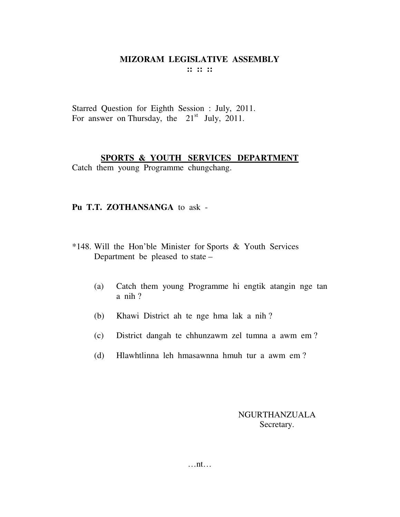Starred Question for Eighth Session : July, 2011. For answer on Thursday, the  $21<sup>st</sup>$  July, 2011.

#### **SPORTS & YOUTH SERVICES DEPARTMENT**

Catch them young Programme chungchang.

#### **Pu T.T. ZOTHANSANGA** to ask -

- \*148. Will the Hon'ble Minister for Sports & Youth Services Department be pleased to state –
	- (a) Catch them young Programme hi engtik atangin nge tan a nih ?
	- (b) Khawi District ah te nge hma lak a nih ?
	- (c) District dangah te chhunzawm zel tumna a awm em ?
	- (d) Hlawhtlinna leh hmasawnna hmuh tur a awm em ?

NGURTHANZUALA Secretary.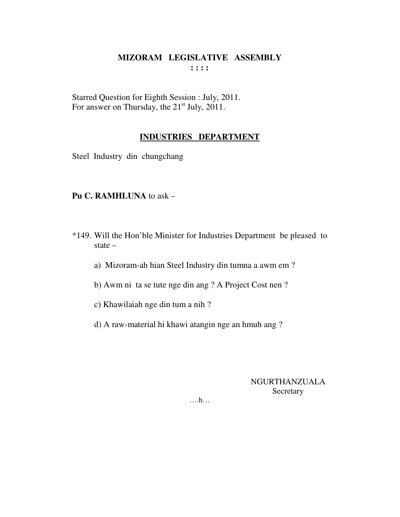Starred Question for Eighth Session : July, 2011. For answer on Thursday, the  $21<sup>st</sup>$  July, 2011.

#### **INDUSTRIES DEPARTMENT**

Steel Industry din chungchang

#### **Pu C. RAMHLUNA** to ask –

\*149. Will the Hon'ble Minister for Industries Department be pleased to state –

a) Mizoram-ah hian Steel Industry din tumna a awm em ?

b) Awm ni ta se tute nge din ang ? A Project Cost nen ?

- c) Khawilaiah nge din tum a nih ?
- d) A raw-material hi khawi atangin nge an hmuh ang ?

NGURTHANZUALA Secretary

….h…